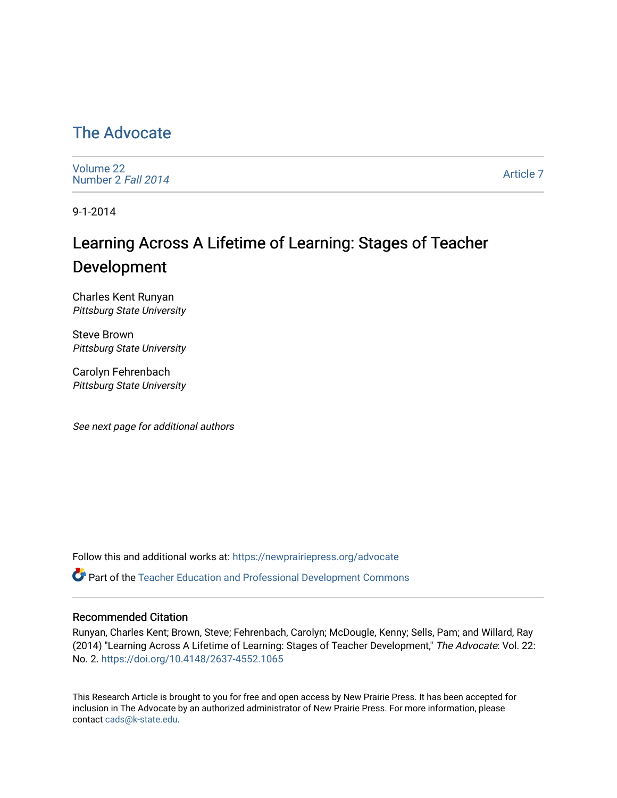### [The Advocate](https://newprairiepress.org/advocate)

[Volume 22](https://newprairiepress.org/advocate/vol22) [Number 2](https://newprairiepress.org/advocate/vol22/iss2) Fall 2014

[Article 7](https://newprairiepress.org/advocate/vol22/iss2/7) 

9-1-2014

# Learning Across A Lifetime of Learning: Stages of Teacher Development

Charles Kent Runyan Pittsburg State University

Steve Brown Pittsburg State University

Carolyn Fehrenbach Pittsburg State University

See next page for additional authors

Follow this and additional works at: [https://newprairiepress.org/advocate](https://newprairiepress.org/advocate?utm_source=newprairiepress.org%2Fadvocate%2Fvol22%2Fiss2%2F7&utm_medium=PDF&utm_campaign=PDFCoverPages) 

Part of the [Teacher Education and Professional Development Commons](http://network.bepress.com/hgg/discipline/803?utm_source=newprairiepress.org%2Fadvocate%2Fvol22%2Fiss2%2F7&utm_medium=PDF&utm_campaign=PDFCoverPages) 

#### Recommended Citation

Runyan, Charles Kent; Brown, Steve; Fehrenbach, Carolyn; McDougle, Kenny; Sells, Pam; and Willard, Ray (2014) "Learning Across A Lifetime of Learning: Stages of Teacher Development," The Advocate: Vol. 22: No. 2. <https://doi.org/10.4148/2637-4552.1065>

This Research Article is brought to you for free and open access by New Prairie Press. It has been accepted for inclusion in The Advocate by an authorized administrator of New Prairie Press. For more information, please contact [cads@k-state.edu](mailto:cads@k-state.edu).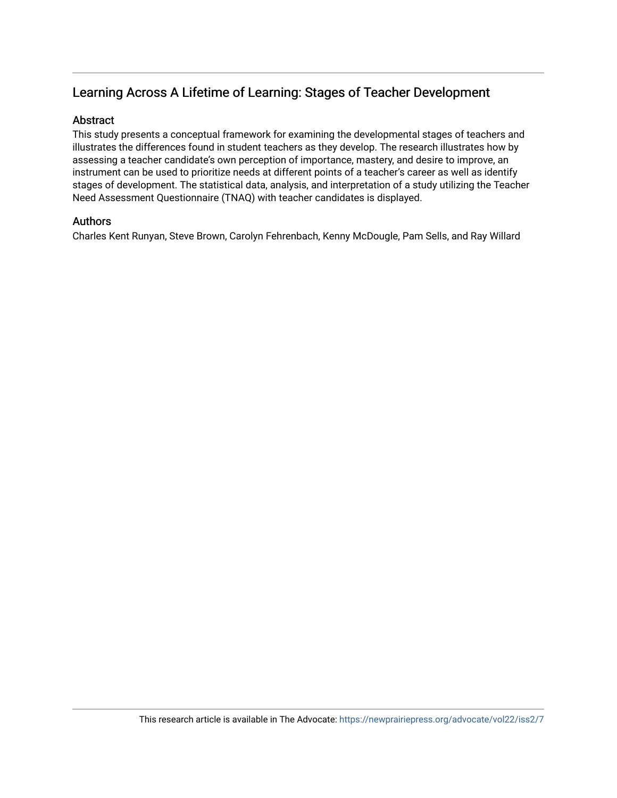### Learning Across A Lifetime of Learning: Stages of Teacher Development

#### Abstract

This study presents a conceptual framework for examining the developmental stages of teachers and illustrates the differences found in student teachers as they develop. The research illustrates how by assessing a teacher candidate's own perception of importance, mastery, and desire to improve, an instrument can be used to prioritize needs at different points of a teacher's career as well as identify stages of development. The statistical data, analysis, and interpretation of a study utilizing the Teacher Need Assessment Questionnaire (TNAQ) with teacher candidates is displayed.

#### Authors

Charles Kent Runyan, Steve Brown, Carolyn Fehrenbach, Kenny McDougle, Pam Sells, and Ray Willard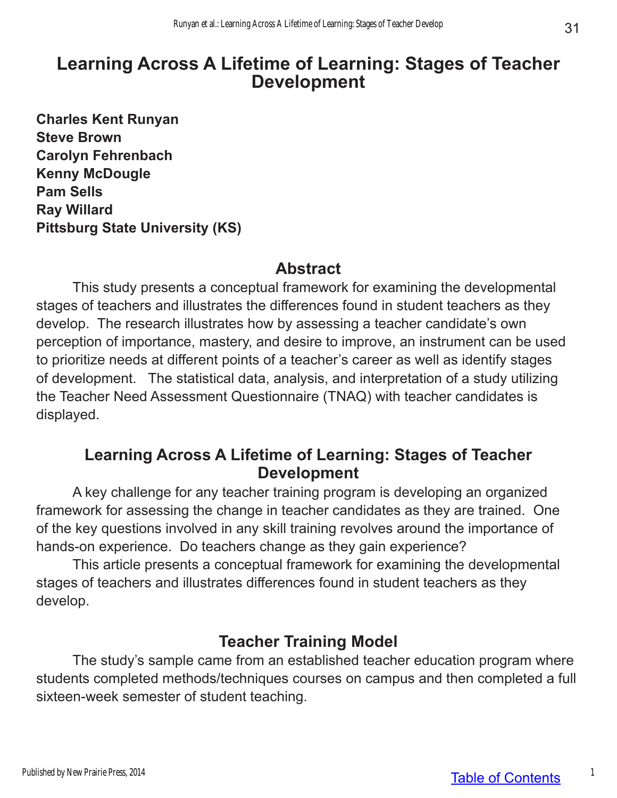# **Learning Across A Lifetime of Learning: Stages of Teacher Development**

**Charles Kent Runyan Steve Brown Carolyn Fehrenbach Kenny McDougle Pam Sells Ray Willard Pittsburg State University (KS)**

### **Abstract**

This study presents a conceptual framework for examining the developmental stages of teachers and illustrates the differences found in student teachers as they develop. The research illustrates how by assessing a teacher candidate's own perception of importance, mastery, and desire to improve, an instrument can be used to prioritize needs at different points of a teacher's career as well as identify stages of development. The statistical data, analysis, and interpretation of a study utilizing the Teacher Need Assessment Questionnaire (TNAQ) with teacher candidates is displayed.

### **Learning Across A Lifetime of Learning: Stages of Teacher Development**

A key challenge for any teacher training program is developing an organized framework for assessing the change in teacher candidates as they are trained. One of the key questions involved in any skill training revolves around the importance of hands-on experience. Do teachers change as they gain experience?

This article presents a conceptual framework for examining the developmental stages of teachers and illustrates differences found in student teachers as they develop.

## **Teacher Training Model**

The study's sample came from an established teacher education program where students completed methods/techniques courses on campus and then completed a full sixteen-week semester of student teaching.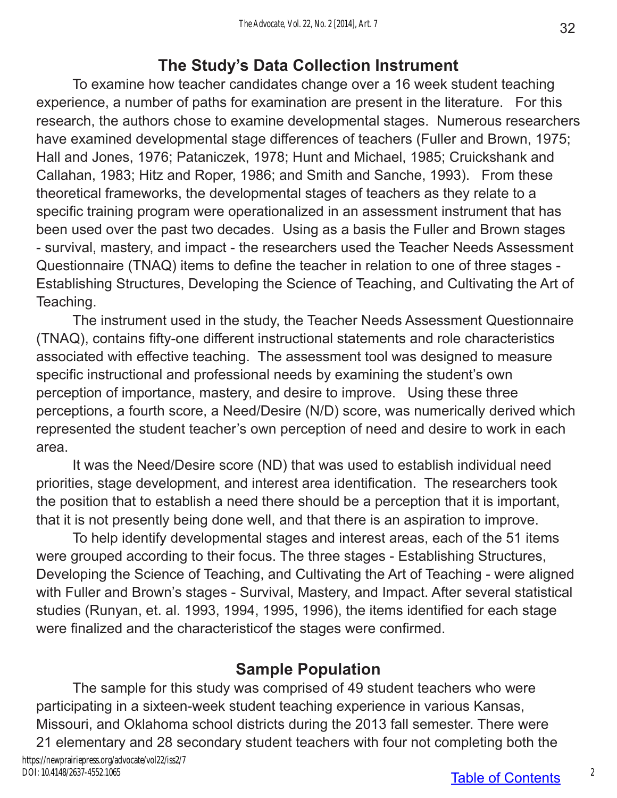## **The Study's Data Collection Instrument**

To examine how teacher candidates change over a 16 week student teaching experience, a number of paths for examination are present in the literature. For this research, the authors chose to examine developmental stages. Numerous researchers have examined developmental stage differences of teachers (Fuller and Brown, 1975; Hall and Jones, 1976; Pataniczek, 1978; Hunt and Michael, 1985; Cruickshank and Callahan, 1983; Hitz and Roper, 1986; and Smith and Sanche, 1993). From these theoretical frameworks, the developmental stages of teachers as they relate to a specific training program were operationalized in an assessment instrument that has been used over the past two decades. Using as a basis the Fuller and Brown stages - survival, mastery, and impact - the researchers used the Teacher Needs Assessment Questionnaire (TNAQ) items to define the teacher in relation to one of three stages - Establishing Structures, Developing the Science of Teaching, and Cultivating the Art of Teaching.

The instrument used in the study, the Teacher Needs Assessment Questionnaire (TNAQ), contains fifty-one different instructional statements and role characteristics associated with effective teaching. The assessment tool was designed to measure specific instructional and professional needs by examining the student's own perception of importance, mastery, and desire to improve. Using these three perceptions, a fourth score, a Need/Desire (N/D) score, was numerically derived which represented the student teacher's own perception of need and desire to work in each area.

It was the Need/Desire score (ND) that was used to establish individual need priorities, stage development, and interest area identification. The researchers took the position that to establish a need there should be a perception that it is important, that it is not presently being done well, and that there is an aspiration to improve.

To help identify developmental stages and interest areas, each of the 51 items were grouped according to their focus. The three stages - Establishing Structures, Developing the Science of Teaching, and Cultivating the Art of Teaching - were aligned with Fuller and Brown's stages - Survival, Mastery, and Impact. After several statistical studies (Runyan, et. al. 1993, 1994, 1995, 1996), the items identified for each stage were finalized and the characteristicof the stages were confirmed.

## **Sample Population**

The sample for this study was comprised of 49 student teachers who were participating in a sixteen-week student teaching experience in various Kansas, Missouri, and Oklahoma school districts during the 2013 fall semester. There were 21 elementary and 28 secondary student teachers with four not completing both the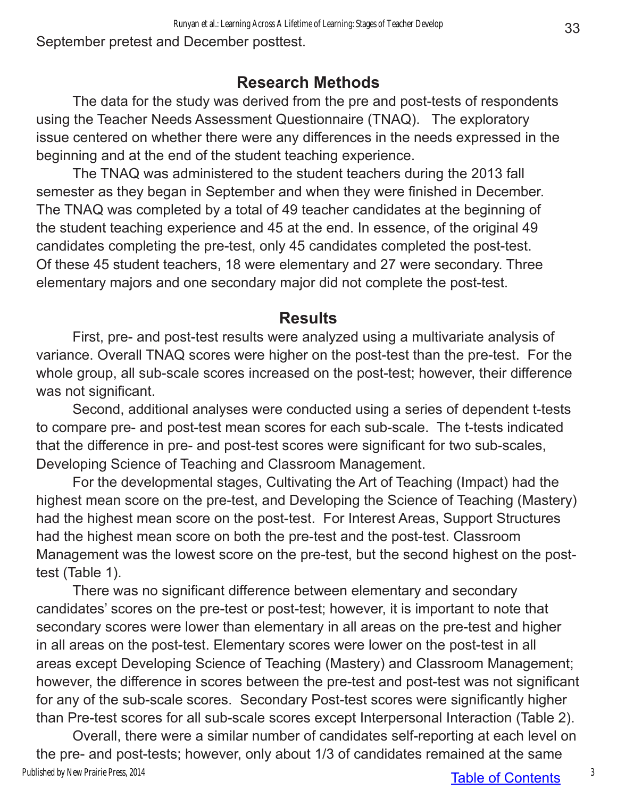September pretest and December posttest.

### **Research Methods**

The data for the study was derived from the pre and post-tests of respondents using the Teacher Needs Assessment Questionnaire (TNAQ). The exploratory issue centered on whether there were any differences in the needs expressed in the beginning and at the end of the student teaching experience.

The TNAQ was administered to the student teachers during the 2013 fall semester as they began in September and when they were finished in December. The TNAQ was completed by a total of 49 teacher candidates at the beginning of the student teaching experience and 45 at the end. In essence, of the original 49 candidates completing the pre-test, only 45 candidates completed the post-test. Of these 45 student teachers, 18 were elementary and 27 were secondary. Three elementary majors and one secondary major did not complete the post-test.

### **Results**

First, pre- and post-test results were analyzed using a multivariate analysis of variance. Overall TNAQ scores were higher on the post-test than the pre-test. For the whole group, all sub-scale scores increased on the post-test; however, their difference was not significant.

Second, additional analyses were conducted using a series of dependent t-tests to compare pre- and post-test mean scores for each sub-scale. The t-tests indicated that the difference in pre- and post-test scores were significant for two sub-scales, Developing Science of Teaching and Classroom Management.

For the developmental stages, Cultivating the Art of Teaching (Impact) had the highest mean score on the pre-test, and Developing the Science of Teaching (Mastery) had the highest mean score on the post-test. For Interest Areas, Support Structures had the highest mean score on both the pre-test and the post-test. Classroom Management was the lowest score on the pre-test, but the second highest on the posttest (Table 1).

There was no significant difference between elementary and secondary candidates' scores on the pre-test or post-test; however, it is important to note that secondary scores were lower than elementary in all areas on the pre-test and higher in all areas on the post-test. Elementary scores were lower on the post-test in all areas except Developing Science of Teaching (Mastery) and Classroom Management; however, the difference in scores between the pre-test and post-test was not significant for any of the sub-scale scores. Secondary Post-test scores were significantly higher than Pre-test scores for all sub-scale scores except Interpersonal Interaction (Table 2).

Table of Contents Overall, there were a similar number of candidates self-reporting at each level on the pre- and post-tests; however, only about 1/3 of candidates remained at the same Published by New Prairie Press, 2014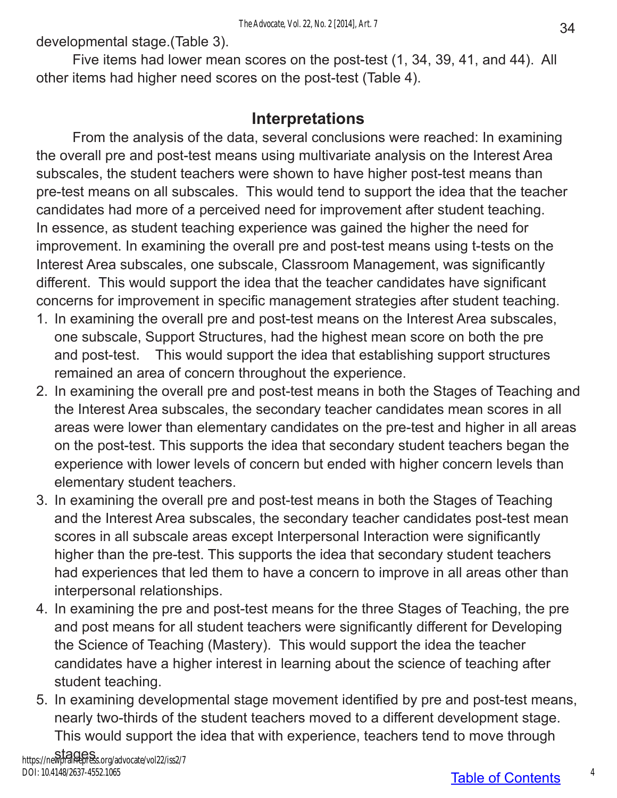developmental stage.(Table 3).

Five items had lower mean scores on the post-test (1, 34, 39, 41, and 44). All other items had higher need scores on the post-test (Table 4).

### **Interpretations**

From the analysis of the data, several conclusions were reached: In examining the overall pre and post-test means using multivariate analysis on the Interest Area subscales, the student teachers were shown to have higher post-test means than pre-test means on all subscales. This would tend to support the idea that the teacher candidates had more of a perceived need for improvement after student teaching. In essence, as student teaching experience was gained the higher the need for improvement. In examining the overall pre and post-test means using t-tests on the Interest Area subscales, one subscale, Classroom Management, was significantly different. This would support the idea that the teacher candidates have significant concerns for improvement in specific management strategies after student teaching.

- 1. In examining the overall pre and post-test means on the Interest Area subscales, one subscale, Support Structures, had the highest mean score on both the pre and post-test. This would support the idea that establishing support structures remained an area of concern throughout the experience.
- 2. In examining the overall pre and post-test means in both the Stages of Teaching and the Interest Area subscales, the secondary teacher candidates mean scores in all areas were lower than elementary candidates on the pre-test and higher in all areas on the post-test. This supports the idea that secondary student teachers began the experience with lower levels of concern but ended with higher concern levels than elementary student teachers.
- 3. In examining the overall pre and post-test means in both the Stages of Teaching and the Interest Area subscales, the secondary teacher candidates post-test mean scores in all subscale areas except Interpersonal Interaction were significantly higher than the pre-test. This supports the idea that secondary student teachers had experiences that led them to have a concern to improve in all areas other than interpersonal relationships.
- 4. In examining the pre and post-test means for the three Stages of Teaching, the pre and post means for all student teachers were significantly different for Developing the Science of Teaching (Mastery). This would support the idea the teacher candidates have a higher interest in learning about the science of teaching after student teaching.
- 5. In examining developmental stage movement identified by pre and post-test means, nearly two-thirds of the student teachers moved to a different development stage. This would support the idea that with experience, teachers tend to move through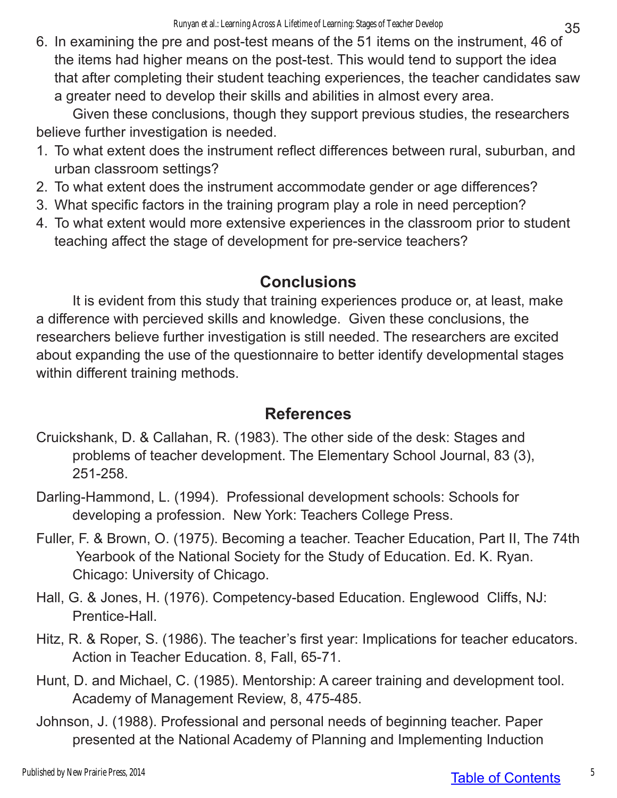6. In examining the pre and post-test means of the 51 items on the instrument, 46 of the items had higher means on the post-test. This would tend to support the idea that after completing their student teaching experiences, the teacher candidates saw a greater need to develop their skills and abilities in almost every area.

Given these conclusions, though they support previous studies, the researchers believe further investigation is needed.

- 1. To what extent does the instrument reflect differences between rural, suburban, and urban classroom settings?
- 2. To what extent does the instrument accommodate gender or age differences?
- 3. What specific factors in the training program play a role in need perception?
- 4. To what extent would more extensive experiences in the classroom prior to student teaching affect the stage of development for pre-service teachers?

## **Conclusions**

It is evident from this study that training experiences produce or, at least, make a difference with percieved skills and knowledge. Given these conclusions, the researchers believe further investigation is still needed. The researchers are excited about expanding the use of the questionnaire to better identify developmental stages within different training methods.

## **References**

- Cruickshank, D. & Callahan, R. (1983). The other side of the desk: Stages and problems of teacher development. The Elementary School Journal, 83 (3), 251-258.
- Darling-Hammond, L. (1994). Professional development schools: Schools for developing a profession. New York: Teachers College Press.
- Fuller, F. & Brown, O. (1975). Becoming a teacher. Teacher Education, Part II, The 74th Yearbook of the National Society for the Study of Education. Ed. K. Ryan. Chicago: University of Chicago.
- Hall, G. & Jones, H. (1976). Competency-based Education. Englewood Cliffs, NJ: Prentice-Hall.
- Hitz, R. & Roper, S. (1986). The teacher's first year: Implications for teacher educators. Action in Teacher Education. 8, Fall, 65-71.
- Hunt, D. and Michael, C. (1985). Mentorship: A career training and development tool. Academy of Management Review, 8, 475-485.
- Johnson, J. (1988). Professional and personal needs of beginning teacher. Paper presented at the National Academy of Planning and Implementing Induction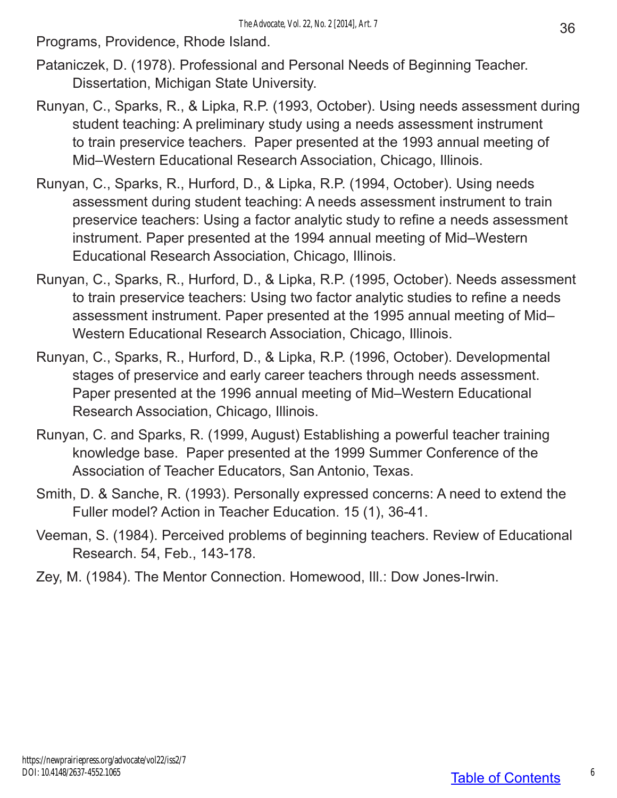Programs, Providence, Rhode Island.

- Pataniczek, D. (1978). Professional and Personal Needs of Beginning Teacher. Dissertation, Michigan State University.
- Runyan, C., Sparks, R., & Lipka, R.P. (1993, October). Using needs assessment during student teaching: A preliminary study using a needs assessment instrument to train preservice teachers. Paper presented at the 1993 annual meeting of Mid–Western Educational Research Association, Chicago, Illinois.
- Runyan, C., Sparks, R., Hurford, D., & Lipka, R.P. (1994, October). Using needs assessment during student teaching: A needs assessment instrument to train preservice teachers: Using a factor analytic study to refine a needs assessment instrument. Paper presented at the 1994 annual meeting of Mid–Western Educational Research Association, Chicago, Illinois.
- Runyan, C., Sparks, R., Hurford, D., & Lipka, R.P. (1995, October). Needs assessment to train preservice teachers: Using two factor analytic studies to refine a needs assessment instrument. Paper presented at the 1995 annual meeting of Mid– Western Educational Research Association, Chicago, Illinois.
- Runyan, C., Sparks, R., Hurford, D., & Lipka, R.P. (1996, October). Developmental stages of preservice and early career teachers through needs assessment. Paper presented at the 1996 annual meeting of Mid–Western Educational Research Association, Chicago, Illinois.
- Runyan, C. and Sparks, R. (1999, August) Establishing a powerful teacher training knowledge base. Paper presented at the 1999 Summer Conference of the Association of Teacher Educators, San Antonio, Texas.
- Smith, D. & Sanche, R. (1993). Personally expressed concerns: A need to extend the Fuller model? Action in Teacher Education. 15 (1), 36-41.
- Veeman, S. (1984). Perceived problems of beginning teachers. Review of Educational Research. 54, Feb., 143-178.
- Zey, M. (1984). The Mentor Connection. Homewood, Ill.: Dow Jones-Irwin.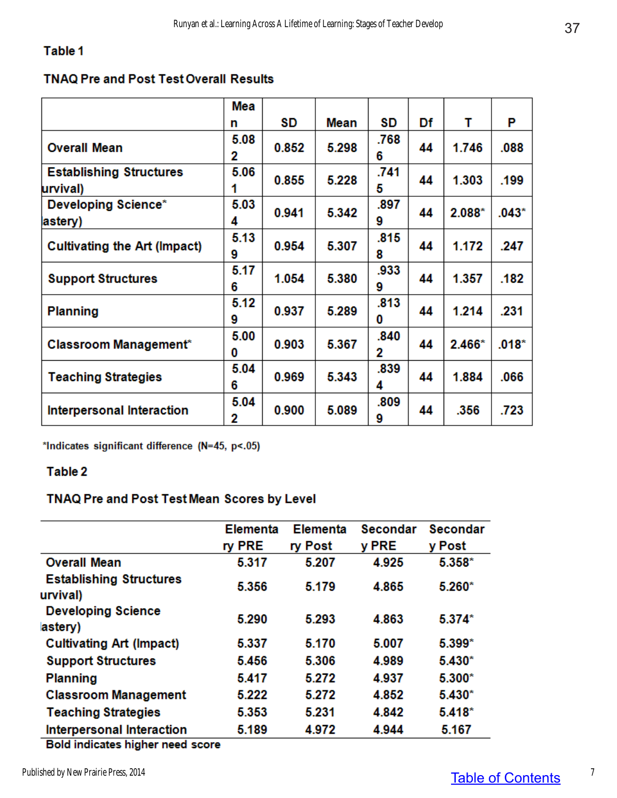#### Table 1

#### **TNAQ Pre and Post Test Overall Results**

|                                            | Mea       |       |             |           |    |          |         |
|--------------------------------------------|-----------|-------|-------------|-----------|----|----------|---------|
|                                            | n         | SD    | <b>Mean</b> | SD        | Df | т        | P       |
| <b>Overall Mean</b>                        | 5.08<br>2 | 0.852 | 5.298       | .768<br>6 | 44 | 1.746    | .088    |
| <b>Establishing Structures</b><br>urvival) | 5.06      | 0.855 | 5.228       | .741<br>5 | 44 | 1.303    | .199    |
| <b>Developing Science*</b><br>astery)      | 5.03<br>4 | 0.941 | 5.342       | .897<br>9 | 44 | $2.088*$ | $.043*$ |
| Cultivating the Art (Impact)               | 5.13<br>9 | 0.954 | 5.307       | .815<br>8 | 44 | 1.172    | .247    |
| <b>Support Structures</b>                  | 5.17<br>6 | 1.054 | 5.380       | .933<br>9 | 44 | 1.357    | .182    |
| <b>Planning</b>                            | 5.12<br>9 | 0.937 | 5.289       | .813<br>0 | 44 | 1.214    | .231    |
| Classroom Management <sup>*</sup>          | 5.00<br>0 | 0.903 | 5.367       | .840<br>2 | 44 | $2.466*$ | $.018*$ |
| <b>Teaching Strategies</b>                 | 5.04<br>6 | 0.969 | 5.343       | .839<br>4 | 44 | 1.884    | .066    |
| <b>Interpersonal Interaction</b>           | 5.04<br>2 | 0.900 | 5.089       | .809<br>9 | 44 | .356     | .723    |

\*Indicates significant difference (N=45, p<.05)

#### Table 2

#### TNAQ Pre and Post Test Mean Scores by Level

|                                            | <b>Elementa</b> | <b>Elementa</b> | <b>Secondar</b> | <b>Secondar</b> |
|--------------------------------------------|-----------------|-----------------|-----------------|-----------------|
|                                            | ry PRE          | ry Post         | y PRE           | y Post          |
| <b>Overall Mean</b>                        | 5.317           | 5.207           | 4.925           | 5.358*          |
| <b>Establishing Structures</b><br>urvival) | 5.356           | 5.179           | 4.865           | $5.260*$        |
| <b>Developing Science</b><br>astery)       | 5.290           | 5.293           | 4.863           | $5.374*$        |
| <b>Cultivating Art (Impact)</b>            | 5.337           | 5.170           | 5.007           | 5.399*          |
| <b>Support Structures</b>                  | 5.456           | 5.306           | 4.989           | $5.430*$        |
| <b>Planning</b>                            | 5.417           | 5.272           | 4.937           | $5.300*$        |
| <b>Classroom Management</b>                | 5.222           | 5.272           | 4.852           | $5.430*$        |
| <b>Teaching Strategies</b>                 | 5.353           | 5.231           | 4.842           | $5.418*$        |
| <b>Interpersonal Interaction</b>           | 5.189           | 4.972           | 4.944           | 5.167           |
| <b>Rold indicates bigher need seers</b>    |                 |                 |                 |                 |

Bold indicates higher need score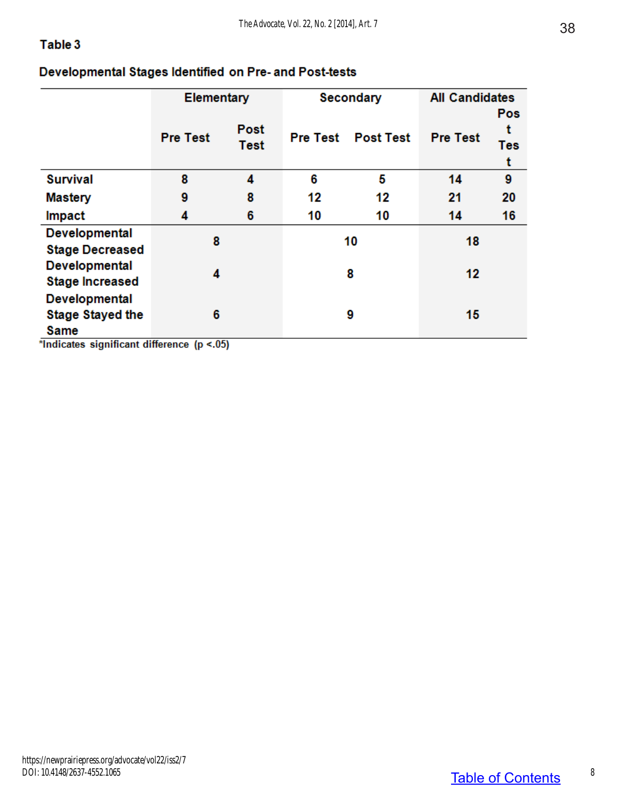#### Table 3

#### Developmental Stages Identified on Pre- and Post-tests

|                         | <b>Elementary</b>       |             |                 | <b>Secondary</b> | <b>All Candidates</b> |     |
|-------------------------|-------------------------|-------------|-----------------|------------------|-----------------------|-----|
|                         |                         |             |                 |                  |                       | Pos |
|                         | <b>Pre Test</b>         | <b>Post</b> | <b>Pre Test</b> | <b>Post Test</b> | <b>Pre Test</b>       | t   |
|                         |                         | <b>Test</b> |                 |                  |                       | Tes |
|                         |                         |             |                 |                  |                       | t   |
| <b>Survival</b>         | 8                       | 4           | 6               | 5                | 14                    | 9   |
| <b>Mastery</b>          | 9                       | 8           | 12              | 12               | 21                    | 20  |
| Impact                  | 4                       | 6           | 10              | 10               | 14                    | 16  |
| <b>Developmental</b>    | 8                       |             | 10              |                  | 18                    |     |
| <b>Stage Decreased</b>  |                         |             |                 |                  |                       |     |
| <b>Developmental</b>    | 4                       |             | 8               |                  | 12                    |     |
| <b>Stage Increased</b>  |                         |             |                 |                  |                       |     |
| <b>Developmental</b>    |                         |             |                 |                  |                       |     |
| <b>Stage Stayed the</b> | 6                       |             |                 | 9                | 15                    |     |
| Same<br>$-$             | $\overline{1}$<br>$- -$ |             |                 |                  |                       |     |

\*Indicates significant difference (p <.05)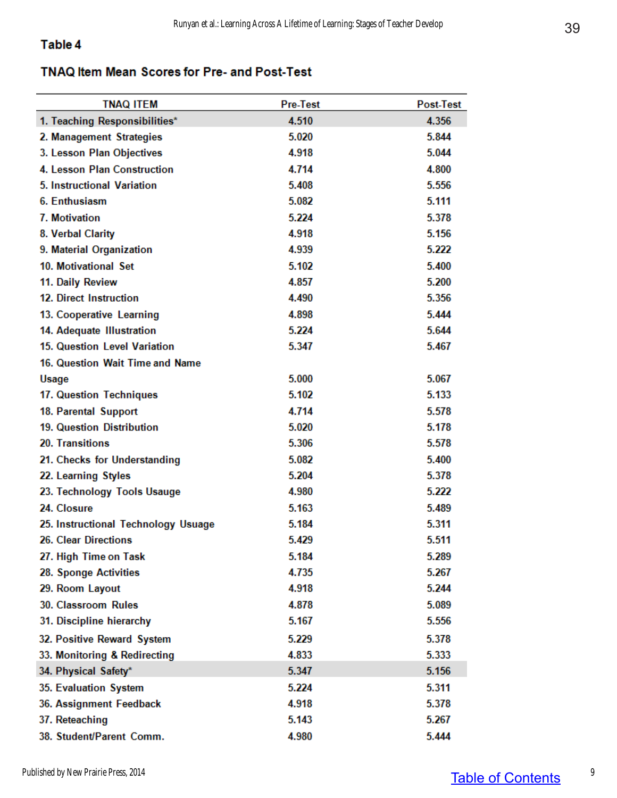#### Table 4

#### TNAQ Item Mean Scores for Pre- and Post-Test

| <b>TNAQ ITEM</b>                    | <b>Pre-Test</b> | Post-Test |
|-------------------------------------|-----------------|-----------|
| 1. Teaching Responsibilities*       | 4.510           | 4.356     |
| 2. Management Strategies            | 5.020           | 5.844     |
| 3. Lesson Plan Objectives           | 4.918           | 5.044     |
| 4. Lesson Plan Construction         | 4.714           | 4.800     |
| 5. Instructional Variation          | 5.408           | 5.556     |
| 6. Enthusiasm                       | 5.082           | 5.111     |
| 7. Motivation                       | 5.224           | 5.378     |
| 8. Verbal Clarity                   | 4.918           | 5.156     |
| 9. Material Organization            | 4.939           | 5.222     |
| 10. Motivational Set                | 5.102           | 5.400     |
| 11. Daily Review                    | 4.857           | 5.200     |
| 12. Direct Instruction              | 4.490           | 5.356     |
| 13. Cooperative Learning            | 4.898           | 5.444     |
| 14. Adequate Illustration           | 5.224           | 5.644     |
| 15. Question Level Variation        | 5.347           | 5.467     |
| 16. Question Wait Time and Name     |                 |           |
| <b>Usage</b>                        | 5.000           | 5.067     |
| 17. Question Techniques             | 5.102           | 5.133     |
| 18. Parental Support                | 4.714           | 5.578     |
| 19. Question Distribution           | 5.020           | 5.178     |
| 20. Transitions                     | 5.306           | 5.578     |
| 21. Checks for Understanding        | 5.082           | 5.400     |
| 22. Learning Styles                 | 5.204           | 5.378     |
| 23. Technology Tools Usauge         | 4.980           | 5.222     |
| 24. Closure                         | 5.163           | 5.489     |
| 25. Instructional Technology Usuage | 5.184           | 5.311     |
| 26. Clear Directions                | 5.429           | 5.511     |
| 27. High Time on Task               | 5.184           | 5.289     |
| 28. Sponge Activities               | 4.735           | 5.267     |
| 29. Room Layout                     | 4.918           | 5.244     |
| 30. Classroom Rules                 | 4.878           | 5.089     |
| 31. Discipline hierarchy            | 5.167           | 5.556     |
| 32. Positive Reward System          | 5.229           | 5.378     |
| 33. Monitoring & Redirecting        | 4.833           | 5.333     |
| 34. Physical Safety*                | 5.347           | 5.156     |
| 35. Evaluation System               | 5.224           | 5.311     |
| 36. Assignment Feedback             | 4.918           | 5.378     |
| 37. Reteaching                      | 5.143           | 5.267     |
| 38. Student/Parent Comm.            | 4.980           | 5.444     |